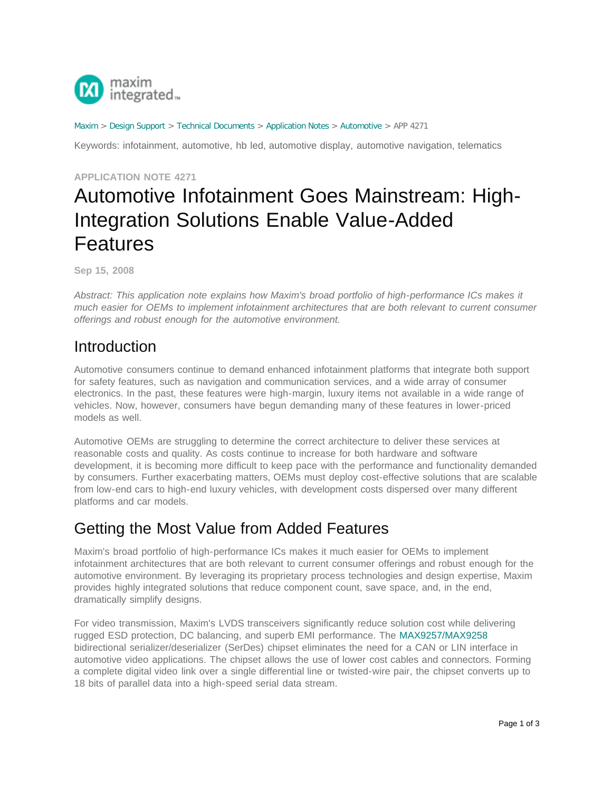

#### [Maxim](http://www.maximintegrated.com/) > [Design Support](http://www.maximintegrated.com/design/) > [Technical Documents](http://www.maximintegrated.com/design/techdocs/) > [Application Notes](http://www.maximintegrated.com/design/techdocs/app-notes/index.mvp) > [Automotive](http://www.maximintegrated.com/design/techdocs/app-notes/index.mvp/id/46/c/Automotive#c46) > APP 4271

Keywords: infotainment, automotive, hb led, automotive display, automotive navigation, telematics

#### **APPLICATION NOTE 4271**

# Automotive Infotainment Goes Mainstream: High-Integration Solutions Enable Value-Added Features

**Sep 15, 2008**

*Abstract: This application note explains how Maxim's broad portfolio of high-performance ICs makes it much easier for OEMs to implement infotainment architectures that are both relevant to current consumer offerings and robust enough for the automotive environment.*

#### Introduction

Automotive consumers continue to demand enhanced infotainment platforms that integrate both support for safety features, such as navigation and communication services, and a wide array of consumer electronics. In the past, these features were high-margin, luxury items not available in a wide range of vehicles. Now, however, consumers have begun demanding many of these features in lower-priced models as well.

Automotive OEMs are struggling to determine the correct architecture to deliver these services at reasonable costs and quality. As costs continue to increase for both hardware and software development, it is becoming more difficult to keep pace with the performance and functionality demanded by consumers. Further exacerbating matters, OEMs must deploy cost-effective solutions that are scalable from low-end cars to high-end luxury vehicles, with development costs dispersed over many different platforms and car models.

### Getting the Most Value from Added Features

Maxim's broad portfolio of high-performance ICs makes it much easier for OEMs to implement infotainment architectures that are both relevant to current consumer offerings and robust enough for the automotive environment. By leveraging its proprietary process technologies and design expertise, Maxim provides highly integrated solutions that reduce component count, save space, and, in the end, dramatically simplify designs.

For video transmission, Maxim's LVDS transceivers significantly reduce solution cost while delivering rugged ESD protection, DC balancing, and superb EMI performance. The [MAX9257/MAX9258](http://www.maximintegrated.com/max9257) bidirectional serializer/deserializer (SerDes) chipset eliminates the need for a CAN or LIN interface in automotive video applications. The chipset allows the use of lower cost cables and connectors. Forming a complete digital video link over a single differential line or twisted-wire pair, the chipset converts up to 18 bits of parallel data into a high-speed serial data stream.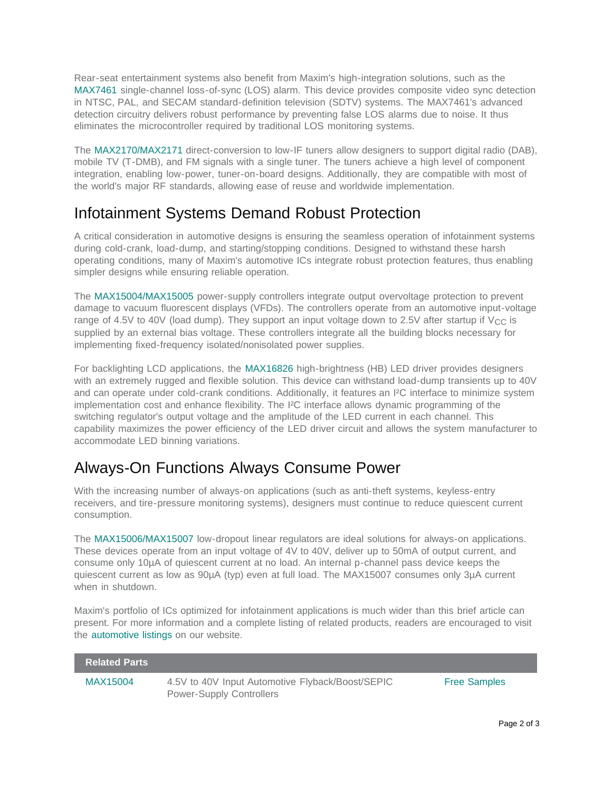Rear-seat entertainment systems also benefit from Maxim's high-integration solutions, such as the [MAX7461](http://www.maximintegrated.com/max7461) single-channel loss-of-sync (LOS) alarm. This device provides composite video sync detection in NTSC, PAL, and SECAM standard-definition television (SDTV) systems. The MAX7461's advanced detection circuitry delivers robust performance by preventing false LOS alarms due to noise. It thus eliminates the microcontroller required by traditional LOS monitoring systems.

The [MAX2170/MAX2171](http://www.maximintegrated.com/max2170) direct-conversion to low-IF tuners allow designers to support digital radio (DAB), mobile TV (T-DMB), and FM signals with a single tuner. The tuners achieve a high level of component integration, enabling low-power, tuner-on-board designs. Additionally, they are compatible with most of the world's major RF standards, allowing ease of reuse and worldwide implementation.

## Infotainment Systems Demand Robust Protection

A critical consideration in automotive designs is ensuring the seamless operation of infotainment systems during cold-crank, load-dump, and starting/stopping conditions. Designed to withstand these harsh operating conditions, many of Maxim's automotive ICs integrate robust protection features, thus enabling simpler designs while ensuring reliable operation.

The [MAX15004/MAX15005](http://www.maximintegrated.com/max15004) power-supply controllers integrate output overvoltage protection to prevent damage to vacuum fluorescent displays (VFDs). The controllers operate from an automotive input-voltage range of 4.5V to 40V (load dump). They support an input voltage down to 2.5V after startup if  $V_{\text{CC}}$  is supplied by an external bias voltage. These controllers integrate all the building blocks necessary for implementing fixed-frequency isolated/nonisolated power supplies.

For backlighting LCD applications, the [MAX16826](http://www.maximintegrated.com/max16826) high-brightness (HB) LED driver provides designers with an extremely rugged and flexible solution. This device can withstand load-dump transients up to 40V and can operate under cold-crank conditions. Additionally, it features an I²C interface to minimize system implementation cost and enhance flexibility. The I²C interface allows dynamic programming of the switching regulator's output voltage and the amplitude of the LED current in each channel. This capability maximizes the power efficiency of the LED driver circuit and allows the system manufacturer to accommodate LED binning variations.

## Always-On Functions Always Consume Power

With the increasing number of always-on applications (such as anti-theft systems, keyless-entry receivers, and tire-pressure monitoring systems), designers must continue to reduce quiescent current consumption.

The [MAX15006/MAX15007](http://www.maximintegrated.com/max15006) low-dropout linear regulators are ideal solutions for always-on applications. These devices operate from an input voltage of 4V to 40V, deliver up to 50mA of output current, and consume only 10µA of quiescent current at no load. An internal p-channel pass device keeps the quiescent current as low as 90µA (typ) even at full load. The MAX15007 consumes only 3µA current when in shutdown.

Maxim's portfolio of ICs optimized for infotainment applications is much wider than this brief article can present. For more information and a complete listing of related products, readers are encouraged to visit the [automotive listings](http://www.maximintegrated.com/solutions/nav/automotive/) on our website.

| <b>Related Parts</b> |                                                                                     |                     |
|----------------------|-------------------------------------------------------------------------------------|---------------------|
| MAX15004             | 4.5V to 40V Input Automotive Flyback/Boost/SEPIC<br><b>Power-Supply Controllers</b> | <b>Free Samples</b> |